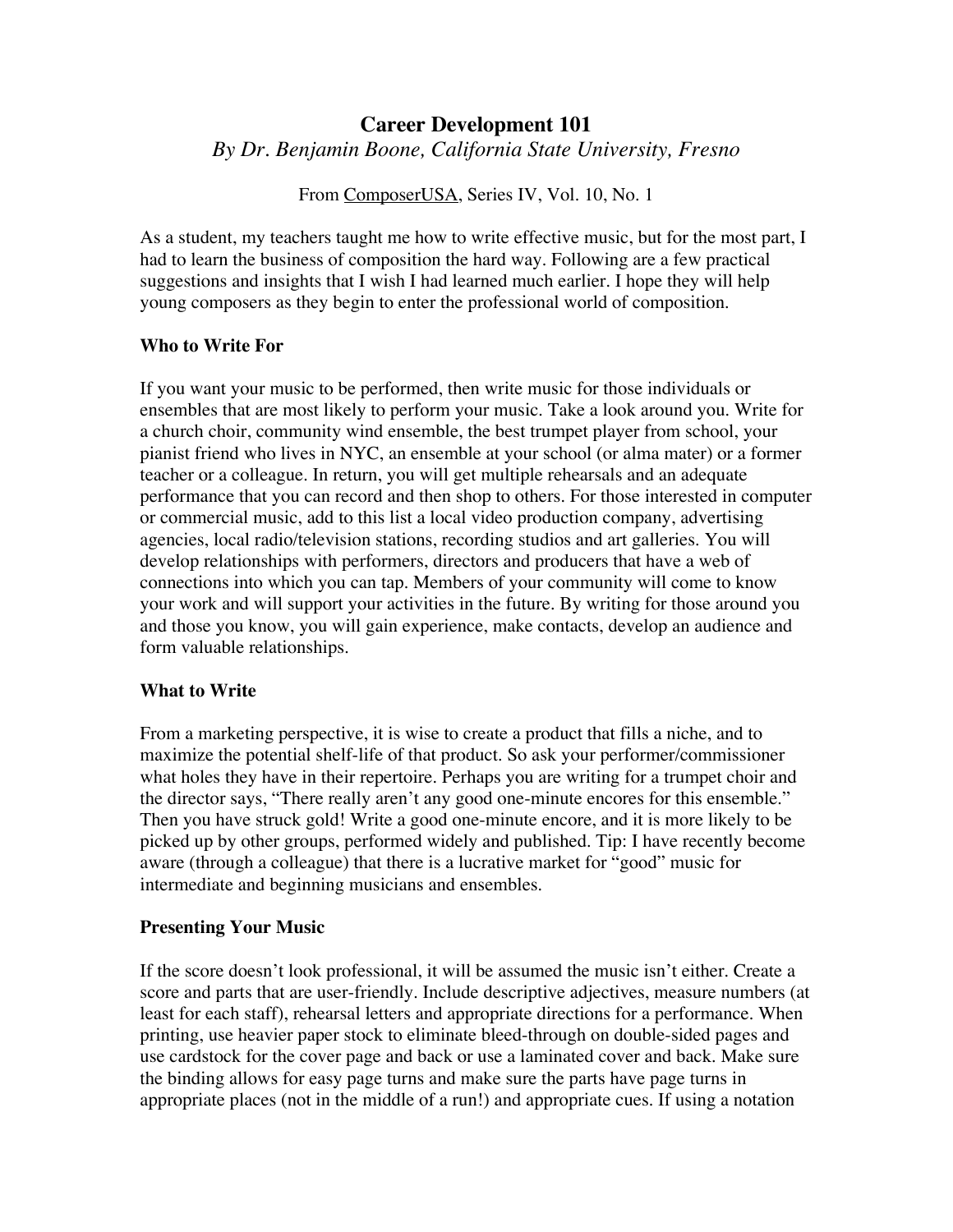# **Career Development 101** *By Dr. Benjamin Boone, California State University, Fresno*

From ComposerUSA, Series IV, Vol. 10, No. 1

As a student, my teachers taught me how to write effective music, but for the most part, I had to learn the business of composition the hard way. Following are a few practical suggestions and insights that I wish I had learned much earlier. I hope they will help young composers as they begin to enter the professional world of composition.

#### **Who to Write For**

If you want your music to be performed, then write music for those individuals or ensembles that are most likely to perform your music. Take a look around you. Write for a church choir, community wind ensemble, the best trumpet player from school, your pianist friend who lives in NYC, an ensemble at your school (or alma mater) or a former teacher or a colleague. In return, you will get multiple rehearsals and an adequate performance that you can record and then shop to others. For those interested in computer or commercial music, add to this list a local video production company, advertising agencies, local radio/television stations, recording studios and art galleries. You will develop relationships with performers, directors and producers that have a web of connections into which you can tap. Members of your community will come to know your work and will support your activities in the future. By writing for those around you and those you know, you will gain experience, make contacts, develop an audience and form valuable relationships.

# **What to Write**

From a marketing perspective, it is wise to create a product that fills a niche, and to maximize the potential shelf-life of that product. So ask your performer/commissioner what holes they have in their repertoire. Perhaps you are writing for a trumpet choir and the director says, "There really aren't any good one-minute encores for this ensemble." Then you have struck gold! Write a good one-minute encore, and it is more likely to be picked up by other groups, performed widely and published. Tip: I have recently become aware (through a colleague) that there is a lucrative market for "good" music for intermediate and beginning musicians and ensembles.

#### **Presenting Your Music**

If the score doesn't look professional, it will be assumed the music isn't either. Create a score and parts that are user-friendly. Include descriptive adjectives, measure numbers (at least for each staff), rehearsal letters and appropriate directions for a performance. When printing, use heavier paper stock to eliminate bleed-through on double-sided pages and use cardstock for the cover page and back or use a laminated cover and back. Make sure the binding allows for easy page turns and make sure the parts have page turns in appropriate places (not in the middle of a run!) and appropriate cues. If using a notation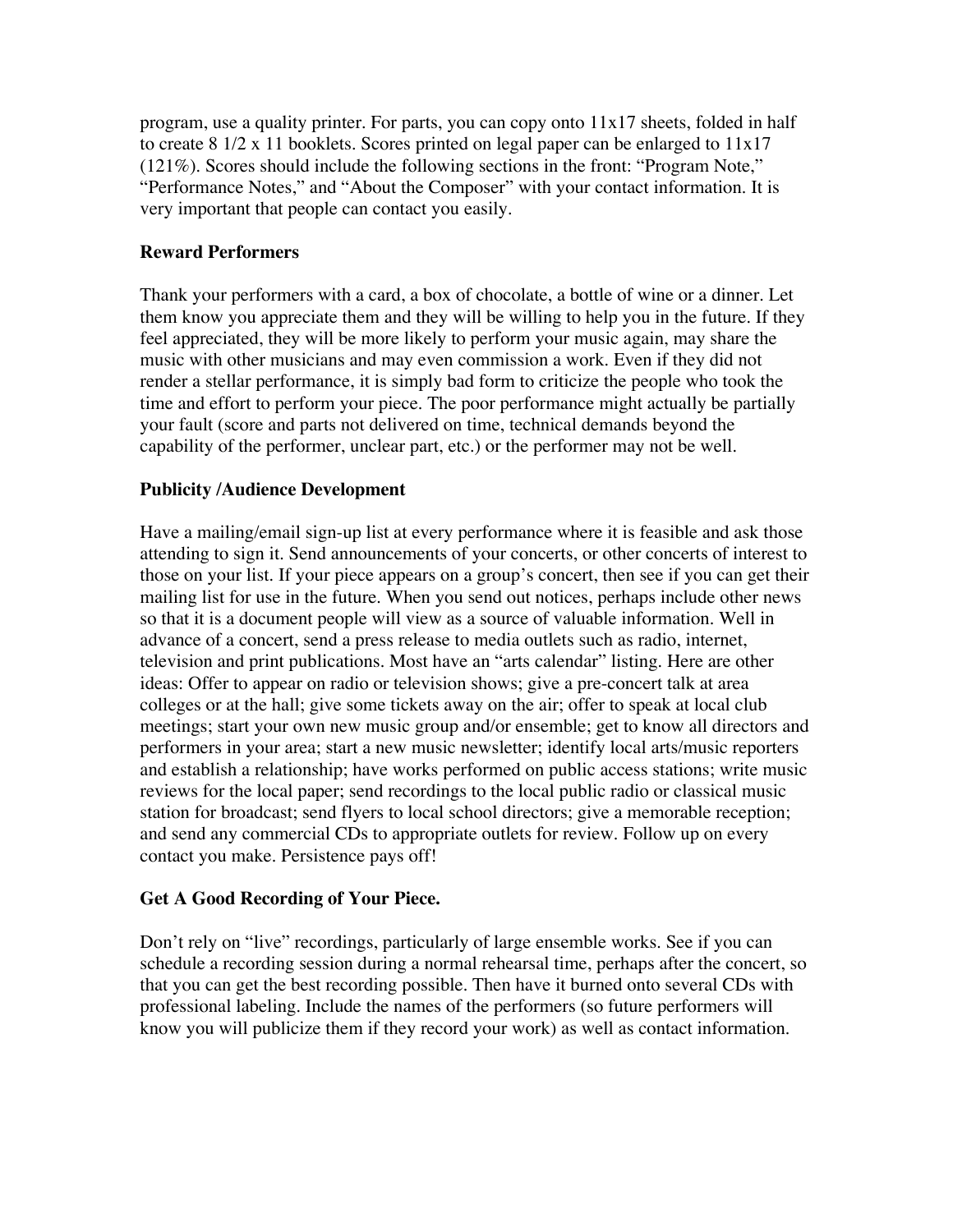program, use a quality printer. For parts, you can copy onto 11x17 sheets, folded in half to create 8 1/2 x 11 booklets. Scores printed on legal paper can be enlarged to 11x17 (121%). Scores should include the following sections in the front: "Program Note," "Performance Notes," and "About the Composer" with your contact information. It is very important that people can contact you easily.

# **Reward Performers**

Thank your performers with a card, a box of chocolate, a bottle of wine or a dinner. Let them know you appreciate them and they will be willing to help you in the future. If they feel appreciated, they will be more likely to perform your music again, may share the music with other musicians and may even commission a work. Even if they did not render a stellar performance, it is simply bad form to criticize the people who took the time and effort to perform your piece. The poor performance might actually be partially your fault (score and parts not delivered on time, technical demands beyond the capability of the performer, unclear part, etc.) or the performer may not be well.

# **Publicity /Audience Development**

Have a mailing/email sign-up list at every performance where it is feasible and ask those attending to sign it. Send announcements of your concerts, or other concerts of interest to those on your list. If your piece appears on a group's concert, then see if you can get their mailing list for use in the future. When you send out notices, perhaps include other news so that it is a document people will view as a source of valuable information. Well in advance of a concert, send a press release to media outlets such as radio, internet, television and print publications. Most have an "arts calendar" listing. Here are other ideas: Offer to appear on radio or television shows; give a pre-concert talk at area colleges or at the hall; give some tickets away on the air; offer to speak at local club meetings; start your own new music group and/or ensemble; get to know all directors and performers in your area; start a new music newsletter; identify local arts/music reporters and establish a relationship; have works performed on public access stations; write music reviews for the local paper; send recordings to the local public radio or classical music station for broadcast; send flyers to local school directors; give a memorable reception; and send any commercial CDs to appropriate outlets for review. Follow up on every contact you make. Persistence pays off!

# **Get A Good Recording of Your Piece.**

Don't rely on "live" recordings, particularly of large ensemble works. See if you can schedule a recording session during a normal rehearsal time, perhaps after the concert, so that you can get the best recording possible. Then have it burned onto several CDs with professional labeling. Include the names of the performers (so future performers will know you will publicize them if they record your work) as well as contact information.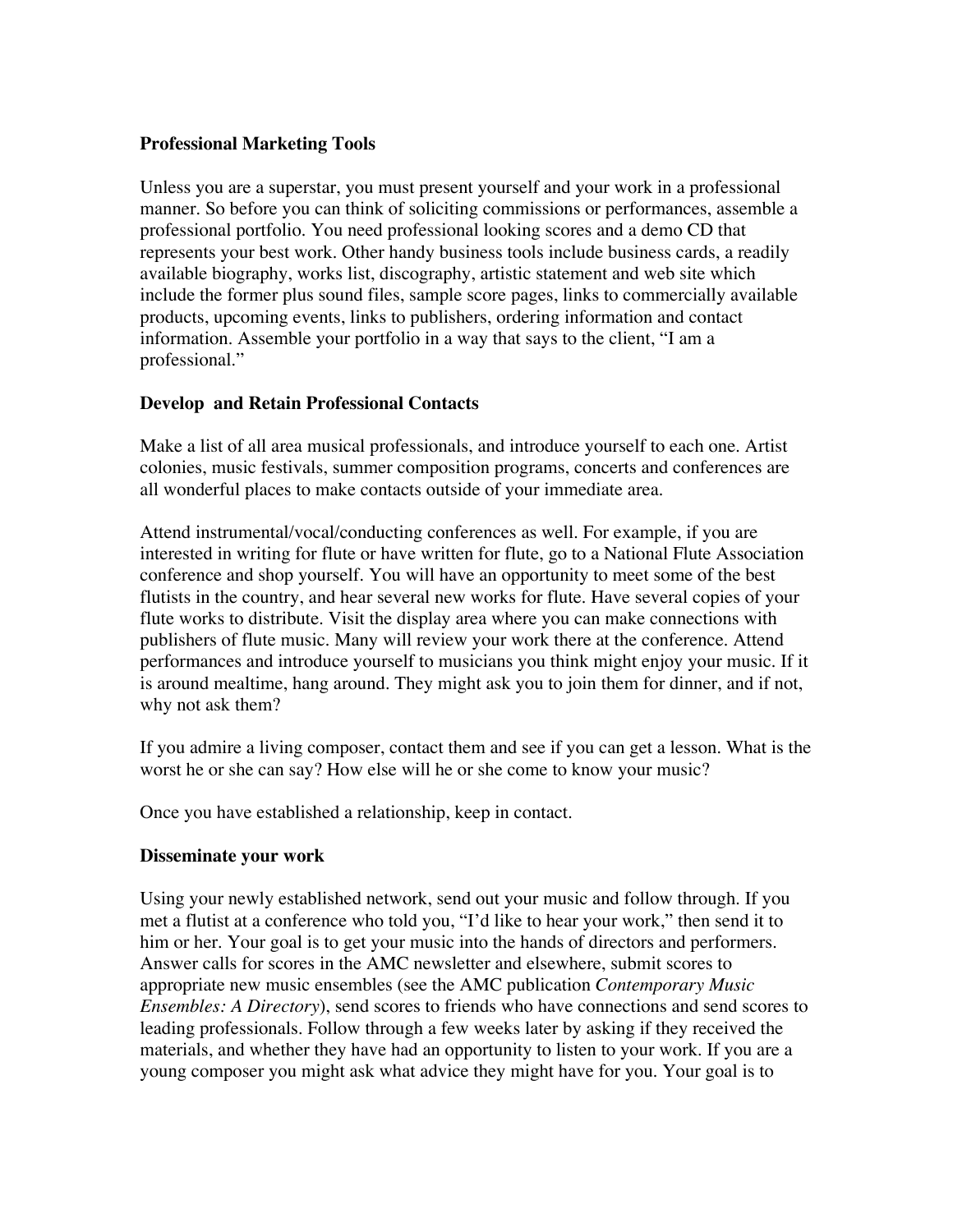#### **Professional Marketing Tools**

Unless you are a superstar, you must present yourself and your work in a professional manner. So before you can think of soliciting commissions or performances, assemble a professional portfolio. You need professional looking scores and a demo CD that represents your best work. Other handy business tools include business cards, a readily available biography, works list, discography, artistic statement and web site which include the former plus sound files, sample score pages, links to commercially available products, upcoming events, links to publishers, ordering information and contact information. Assemble your portfolio in a way that says to the client, "I am a professional."

#### **Develop and Retain Professional Contacts**

Make a list of all area musical professionals, and introduce yourself to each one. Artist colonies, music festivals, summer composition programs, concerts and conferences are all wonderful places to make contacts outside of your immediate area.

Attend instrumental/vocal/conducting conferences as well. For example, if you are interested in writing for flute or have written for flute, go to a National Flute Association conference and shop yourself. You will have an opportunity to meet some of the best flutists in the country, and hear several new works for flute. Have several copies of your flute works to distribute. Visit the display area where you can make connections with publishers of flute music. Many will review your work there at the conference. Attend performances and introduce yourself to musicians you think might enjoy your music. If it is around mealtime, hang around. They might ask you to join them for dinner, and if not, why not ask them?

If you admire a living composer, contact them and see if you can get a lesson. What is the worst he or she can say? How else will he or she come to know your music?

Once you have established a relationship, keep in contact.

#### **Disseminate your work**

Using your newly established network, send out your music and follow through. If you met a flutist at a conference who told you, "I'd like to hear your work," then send it to him or her. Your goal is to get your music into the hands of directors and performers. Answer calls for scores in the AMC newsletter and elsewhere, submit scores to appropriate new music ensembles (see the AMC publication *Contemporary Music Ensembles: A Directory*), send scores to friends who have connections and send scores to leading professionals. Follow through a few weeks later by asking if they received the materials, and whether they have had an opportunity to listen to your work. If you are a young composer you might ask what advice they might have for you. Your goal is to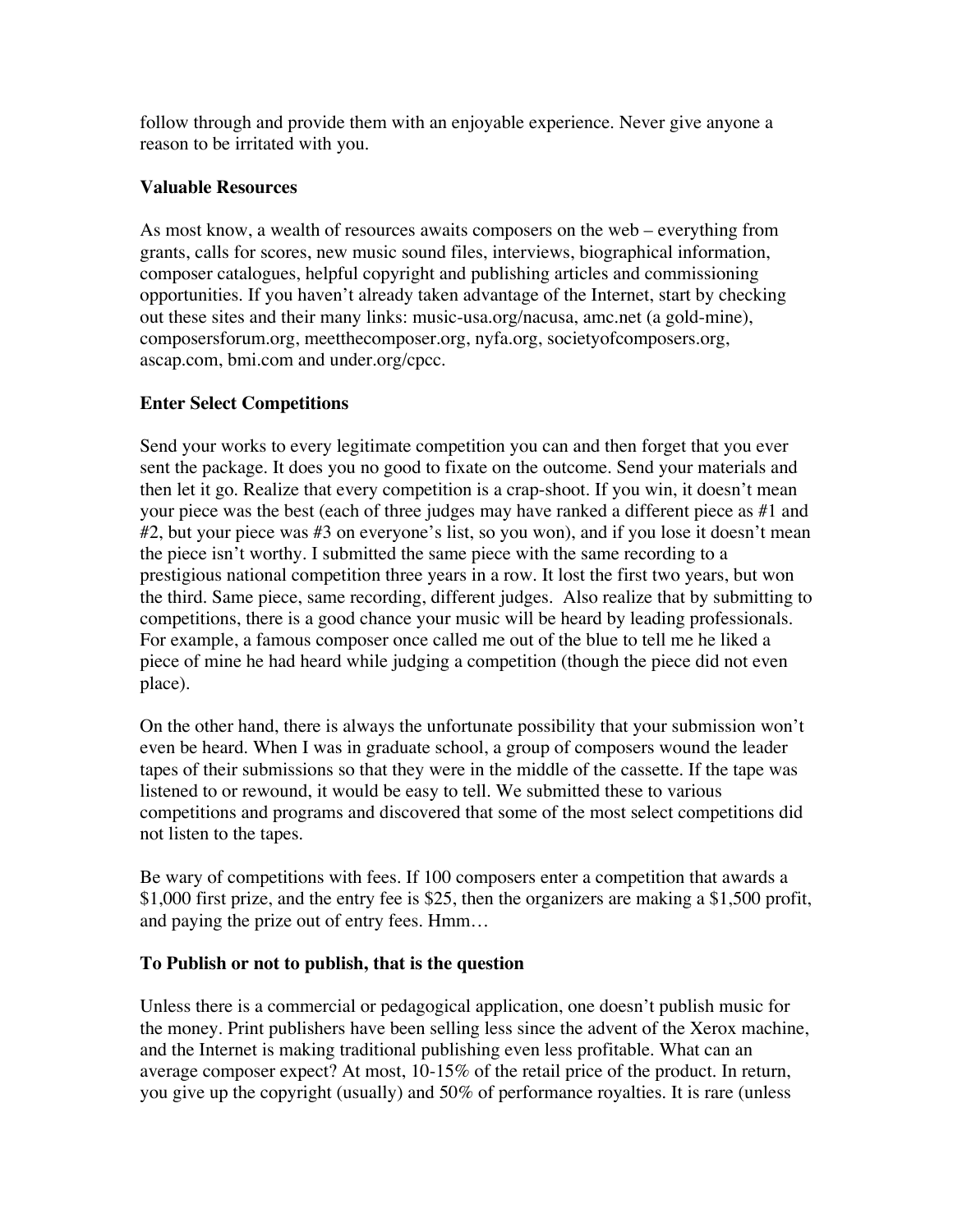follow through and provide them with an enjoyable experience. Never give anyone a reason to be irritated with you.

# **Valuable Resources**

As most know, a wealth of resources awaits composers on the web – everything from grants, calls for scores, new music sound files, interviews, biographical information, composer catalogues, helpful copyright and publishing articles and commissioning opportunities. If you haven't already taken advantage of the Internet, start by checking out these sites and their many links: music-usa.org/nacusa, amc.net (a gold-mine), composersforum.org, meetthecomposer.org, nyfa.org, societyofcomposers.org, ascap.com, bmi.com and under.org/cpcc.

# **Enter Select Competitions**

Send your works to every legitimate competition you can and then forget that you ever sent the package. It does you no good to fixate on the outcome. Send your materials and then let it go. Realize that every competition is a crap-shoot. If you win, it doesn't mean your piece was the best (each of three judges may have ranked a different piece as #1 and #2, but your piece was #3 on everyone's list, so you won), and if you lose it doesn't mean the piece isn't worthy. I submitted the same piece with the same recording to a prestigious national competition three years in a row. It lost the first two years, but won the third. Same piece, same recording, different judges. Also realize that by submitting to competitions, there is a good chance your music will be heard by leading professionals. For example, a famous composer once called me out of the blue to tell me he liked a piece of mine he had heard while judging a competition (though the piece did not even place).

On the other hand, there is always the unfortunate possibility that your submission won't even be heard. When I was in graduate school, a group of composers wound the leader tapes of their submissions so that they were in the middle of the cassette. If the tape was listened to or rewound, it would be easy to tell. We submitted these to various competitions and programs and discovered that some of the most select competitions did not listen to the tapes.

Be wary of competitions with fees. If 100 composers enter a competition that awards a \$1,000 first prize, and the entry fee is \$25, then the organizers are making a \$1,500 profit, and paying the prize out of entry fees. Hmm…

# **To Publish or not to publish, that is the question**

Unless there is a commercial or pedagogical application, one doesn't publish music for the money. Print publishers have been selling less since the advent of the Xerox machine, and the Internet is making traditional publishing even less profitable. What can an average composer expect? At most, 10-15% of the retail price of the product. In return, you give up the copyright (usually) and 50% of performance royalties. It is rare (unless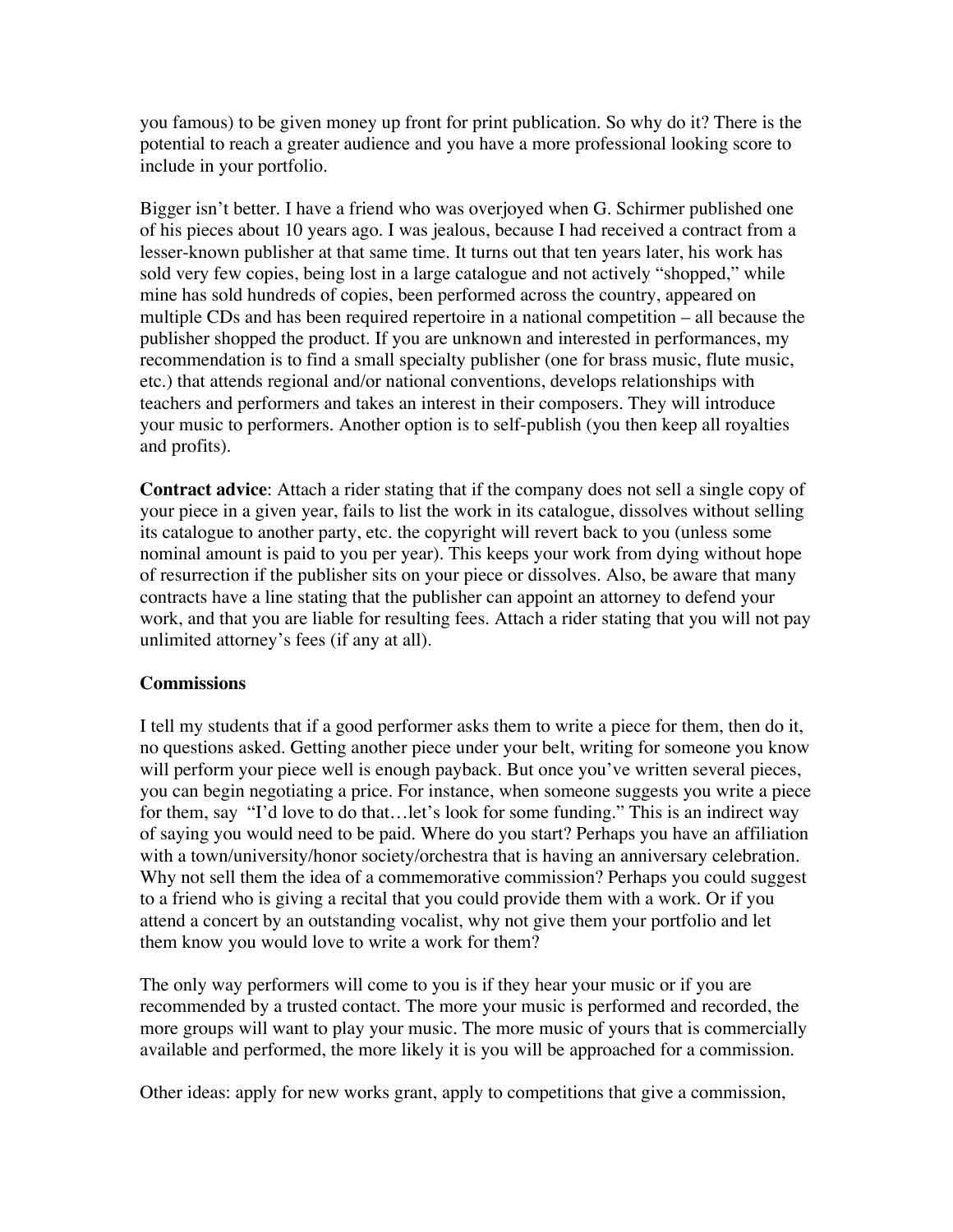you famous) to be given money up front for print publication. So why do it? There is the potential to reach a greater audience and you have a more professional looking score to include in your portfolio.

Bigger isn't better. I have a friend who was overjoyed when G. Schirmer published one of his pieces about 10 years ago. I was jealous, because I had received a contract from a lesser-known publisher at that same time. It turns out that ten years later, his work has sold very few copies, being lost in a large catalogue and not actively "shopped," while mine has sold hundreds of copies, been performed across the country, appeared on multiple CDs and has been required repertoire in a national competition – all because the publisher shopped the product. If you are unknown and interested in performances, my recommendation is to find a small specialty publisher (one for brass music, flute music, etc.) that attends regional and/or national conventions, develops relationships with teachers and performers and takes an interest in their composers. They will introduce your music to performers. Another option is to self-publish (you then keep all royalties and profits).

**Contract advice**: Attach a rider stating that if the company does not sell a single copy of your piece in a given year, fails to list the work in its catalogue, dissolves without selling its catalogue to another party, etc. the copyright will revert back to you (unless some nominal amount is paid to you per year). This keeps your work from dying without hope of resurrection if the publisher sits on your piece or dissolves. Also, be aware that many contracts have a line stating that the publisher can appoint an attorney to defend your work, and that you are liable for resulting fees. Attach a rider stating that you will not pay unlimited attorney's fees (if any at all).

# **Commissions**

I tell my students that if a good performer asks them to write a piece for them, then do it, no questions asked. Getting another piece under your belt, writing for someone you know will perform your piece well is enough payback. But once you've written several pieces, you can begin negotiating a price. For instance, when someone suggests you write a piece for them, say "I'd love to do that...let's look for some funding." This is an indirect way of saying you would need to be paid. Where do you start? Perhaps you have an affiliation with a town/university/honor society/orchestra that is having an anniversary celebration. Why not sell them the idea of a commemorative commission? Perhaps you could suggest to a friend who is giving a recital that you could provide them with a work. Or if you attend a concert by an outstanding vocalist, why not give them your portfolio and let them know you would love to write a work for them?

The only way performers will come to you is if they hear your music or if you are recommended by a trusted contact. The more your music is performed and recorded, the more groups will want to play your music. The more music of yours that is commercially available and performed, the more likely it is you will be approached for a commission.

Other ideas: apply for new works grant, apply to competitions that give a commission,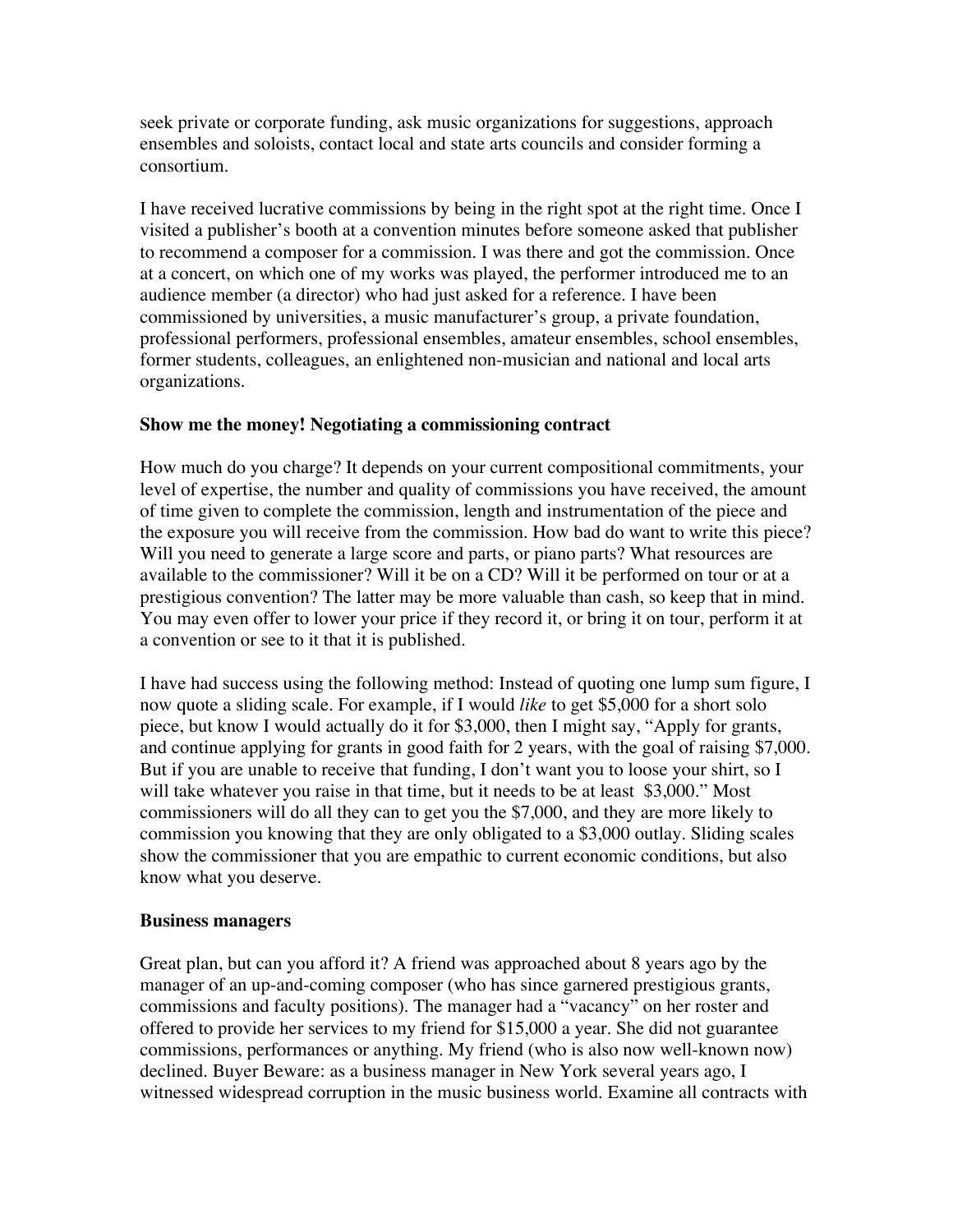seek private or corporate funding, ask music organizations for suggestions, approach ensembles and soloists, contact local and state arts councils and consider forming a consortium.

I have received lucrative commissions by being in the right spot at the right time. Once I visited a publisher's booth at a convention minutes before someone asked that publisher to recommend a composer for a commission. I was there and got the commission. Once at a concert, on which one of my works was played, the performer introduced me to an audience member (a director) who had just asked for a reference. I have been commissioned by universities, a music manufacturer's group, a private foundation, professional performers, professional ensembles, amateur ensembles, school ensembles, former students, colleagues, an enlightened non-musician and national and local arts organizations.

#### **Show me the money! Negotiating a commissioning contract**

How much do you charge? It depends on your current compositional commitments, your level of expertise, the number and quality of commissions you have received, the amount of time given to complete the commission, length and instrumentation of the piece and the exposure you will receive from the commission. How bad do want to write this piece? Will you need to generate a large score and parts, or piano parts? What resources are available to the commissioner? Will it be on a CD? Will it be performed on tour or at a prestigious convention? The latter may be more valuable than cash, so keep that in mind. You may even offer to lower your price if they record it, or bring it on tour, perform it at a convention or see to it that it is published.

I have had success using the following method: Instead of quoting one lump sum figure, I now quote a sliding scale. For example, if I would *like* to get \$5,000 for a short solo piece, but know I would actually do it for \$3,000, then I might say, "Apply for grants, and continue applying for grants in good faith for 2 years, with the goal of raising \$7,000. But if you are unable to receive that funding, I don't want you to loose your shirt, so I will take whatever you raise in that time, but it needs to be at least \$3,000." Most commissioners will do all they can to get you the \$7,000, and they are more likely to commission you knowing that they are only obligated to a \$3,000 outlay. Sliding scales show the commissioner that you are empathic to current economic conditions, but also know what you deserve.

#### **Business managers**

Great plan, but can you afford it? A friend was approached about 8 years ago by the manager of an up-and-coming composer (who has since garnered prestigious grants, commissions and faculty positions). The manager had a "vacancy" on her roster and offered to provide her services to my friend for \$15,000 a year. She did not guarantee commissions, performances or anything. My friend (who is also now well-known now) declined. Buyer Beware: as a business manager in New York several years ago, I witnessed widespread corruption in the music business world. Examine all contracts with